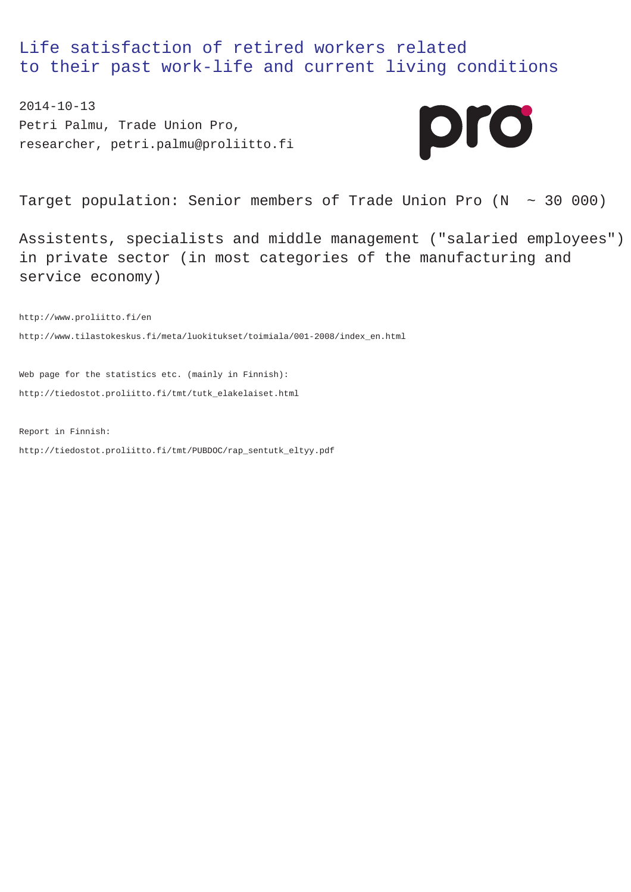Life satisfaction of retired workers related to their past work-life and current living conditions

2014-10-13 Petri Palmu, Trade Union Pro, researcher, petri.palmu@proliitto.fi



Target population: Senior members of Trade Union Pro  $(N \sim 30000)$ 

Assistents, specialists and middle management ("salaried employees") in private sector (in most categories of the manufacturing and service economy)

http://www.proliitto.fi/en http://www.tilastokeskus.fi/meta/luokitukset/toimiala/001-2008/index\_en.html

Web page for the statistics etc. (mainly in Finnish): http://tiedostot.proliitto.fi/tmt/tutk\_elakelaiset.html

Report in Finnish: http://tiedostot.proliitto.fi/tmt/PUBDOC/rap\_sentutk\_eltyy.pdf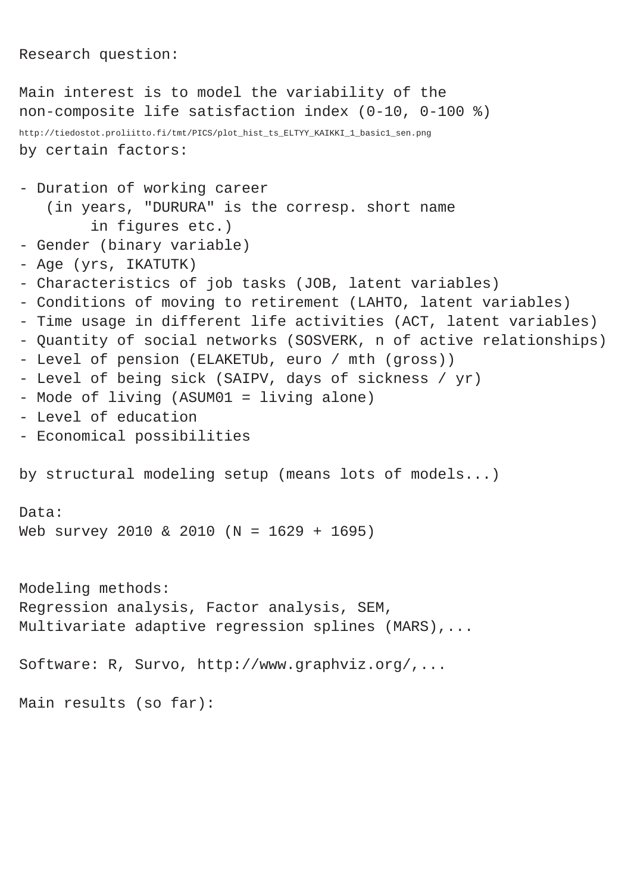```
Research question:
```

```
Main interest is to model the variability of the
non-composite life satisfaction index (0-10, 0-100 %)
http://tiedostot.proliitto.fi/tmt/PICS/plot_hist_ts_ELTYY_KAIKKI_1_basic1_sen.png
by certain factors:
- Duration of working career
    (in years, "DURURA" is the corresp. short name
         in figures etc.)
- Gender (binary variable)
- Age (yrs, IKATUTK)
- Characteristics of job tasks (JOB, latent variables)
- Conditions of moving to retirement (LAHTO, latent variables)
- Time usage in different life activities (ACT, latent variables)
- Quantity of social networks (SOSVERK, n of active relationships)
- Level of pension (ELAKETUb, euro / mth (gross))
- Level of being sick (SAIPV, days of sickness / yr)
- Mode of living (ASUM01 = living alone)
- Level of education
- Economical possibilities
by structural modeling setup (means lots of models...)
Data:
Web survey 2010 & 2010 (N = 1629 + 1695)
Modeling methods:
Regression analysis, Factor analysis, SEM,
Multivariate adaptive regression splines (MARS),...
Software: R, Survo, http://www.graphviz.org/,...
Main results (so far):
```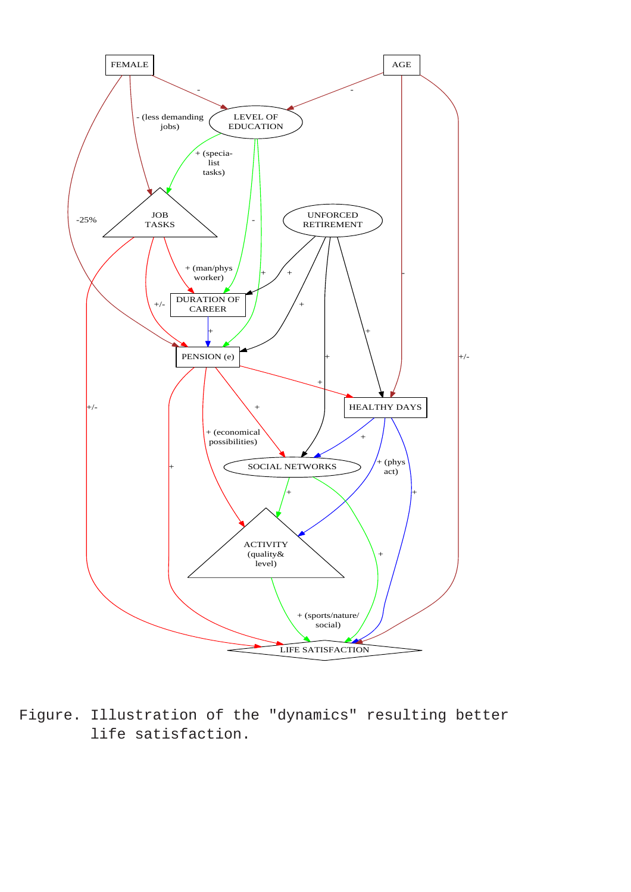

Figure. Illustration of the "dynamics" resulting better life satisfaction.